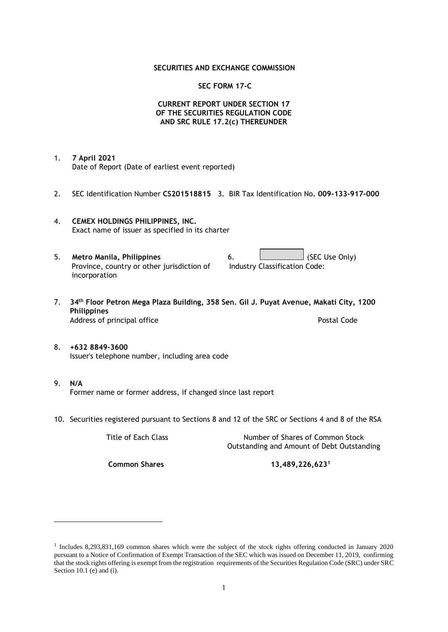### **SECURITIES AND EXCHANGE COMMISSION**

### **SEC FORM 17-C**

## **CURRENT REPORT UNDER SECTION 17 OF THE SECURITIES REGULATION CODE AND SRC RULE 17.2(c) THEREUNDER**

- 1. **7 April 2021** Date of Report (Date of earliest event reported)
- 2. SEC Identification Number **CS201518815** 3. BIR Tax Identification No**. 009-133-917-000**
- 4. **CEMEX HOLDINGS PHILIPPINES, INC.** Exact name of issuer as specified in its charter
- 5. **Metro Manila, Philippines** 6. **Consumers 6.** (SEC Use Only) Province, country or other jurisdiction of incorporation Industry Classification Code:
- 7. **34th Floor Petron Mega Plaza Building, 358 Sen. Gil J. Puyat Avenue, Makati City, 1200 Philippines** Address of principal office **Postal Code** Postal Code
- 8. **+632 8849-3600** Issuer's telephone number, including area code
- 9. **N/A** Former name or former address, if changed since last report
- 10. Securities registered pursuant to Sections 8 and 12 of the SRC or Sections 4 and 8 of the RSA

Title of Each Class Number of Shares of Common Stock Outstanding and Amount of Debt Outstanding

**Common Shares 13,489,226,623<sup>1</sup>**

<sup>1</sup> Includes 8,293,831,169 common shares which were the subject of the stock rights offering conducted in January 2020 pursuant to a Notice of Confirmation of Exempt Transaction of the SEC which was issued on December 11, 2019, confirming that the stock rights offering is exempt from the registration requirements of the Securities Regulation Code (SRC) under SRC Section 10.1 (e) and (i).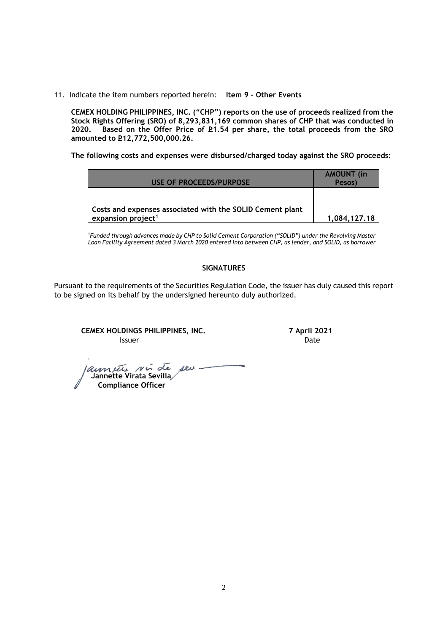11. Indicate the item numbers reported herein: **Item 9 - Other Events**

**CEMEX HOLDING PHILIPPINES, INC. ("CHP") reports on the use of proceeds realized from the Stock Rights Offering (SRO) of 8,293,831,169 common shares of CHP that was conducted in**  Based on the Offer Price of £1.54 per share, the total proceeds from the SRO **amounted to P12,772,500,000.26.** 

**The following costs and expenses were disbursed/charged today against the SRO proceeds:**

| USE OF PROCEEDS/PURPOSE                                   | <b>AMOUNT</b> (in<br>Pesos) |
|-----------------------------------------------------------|-----------------------------|
| Costs and expenses associated with the SOLID Cement plant |                             |
| expansion project <sup>1</sup>                            | 1.084.127.18                |

<sup>1</sup>*Funded through advances made by CHP to Solid Cement Corporation ("SOLID") under the Revolving Master Loan Facility Agreement dated 3 March 2020 entered into between CHP, as lender, and SOLID, as borrower*

## **SIGNATURES**

Pursuant to the requirements of the Securities Regulation Code, the issuer has duly caused this report to be signed on its behalf by the undersigned hereunto duly authorized.

**CEMEX HOLDINGS PHILIPPINES, INC. 7 April 2021 Issuer Date** 

 **Jannette Virata Sevilla Compliance Officer**